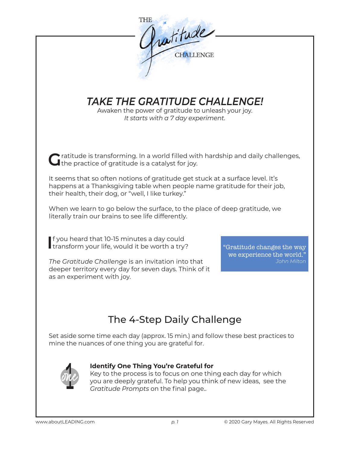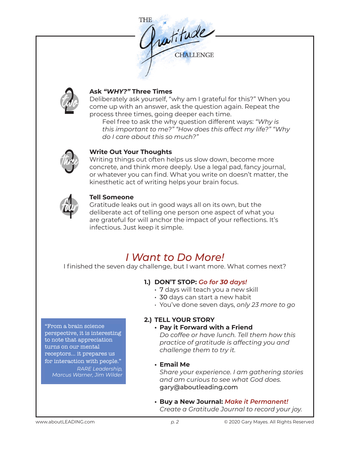



## **Ask** *"WHY?"* **Three Times**

Deliberately ask yourself, "why am I grateful for this?" When you come up with an answer, ask the question again. Repeat the process three times, going deeper each time.

Feel free to ask the why question different ways: *"Why is this important to me?" "How does this affect my life?" "Why do I care about this so much?"* 



## **Write Out Your Thoughts**

Writing things out often helps us slow down, become more concrete, and think more deeply. Use a legal pad, fancy journal, or whatever you can find. What you write on doesn't matter, the kinesthetic act of writing helps your brain focus.



## **Tell Someone**

Gratitude leaks out in good ways all on its own, but the deliberate act of telling one person one aspect of what you are grateful for will anchor the impact of your reflections. It's infectious. Just keep it simple.

# *I Want to Do More!*

I finished the seven day challenge, but I want more. What comes next?

# **1.) DON'T STOP:** *Go for 30 days!*

- 7 days will teach you a new skill
- 30 days can start a new habit
- You've done seven days, *only 23 more to go*

#### "From a brain science perspective, it is interesting to note that appreciation turns on our mental receptors... it prepares us for interaction with people." *RARE Leadership, Marcus Warner, Jim Wilder*

# **2.) TELL YOUR STORY**

## **• Pay it Forward with a Friend**

*Do coffee or have lunch. Tell them how this practice of gratitude is affecting you and challenge them to try it.* 

## **• Email Me**

*Share your experience. I am gathering stories and am curious to see what God does.*  gary@aboutleading.com

**• Buy a New Journal:** *Make it Permanent! Create a Gratitude Journal to record your joy.*